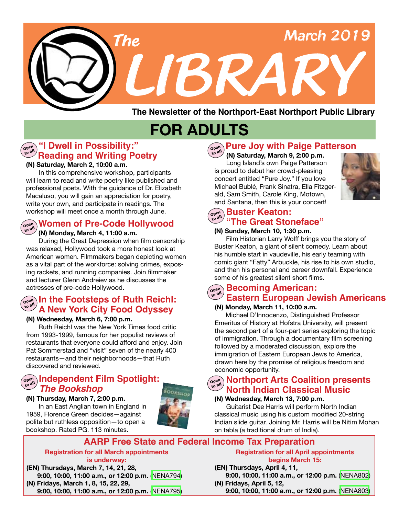

**The Newsletter of the Northport-East Northport Public Library**

# **FOR ADULTS**

#### **"I Dwell in Possibility:" Reading and Writing Poetry Open**

#### **(N) Saturday, March 2, 10:00 a.m.**

In this comprehensive workshop, participants will learn to read and write poetry like published and professional poets. With the guidance of Dr. Elizabeth Macaluso, you will gain an appreciation for poetry, write your own, and participate in readings. The workshop will meet once a month through June.

#### **Women of Pre-Code Hollywood** open

 **(N) Monday, March 4, 11:00 a.m.**

During the Great Depression when film censorship was relaxed, Hollywood took a more honest look at American women. Filmmakers began depicting women as a vital part of the workforce: solving crimes, exposing rackets, and running companies. Join filmmaker and lecturer Glenn Andreiev as he discusses the actresses of pre-code Hollywood.

#### **In the Footsteps of Ruth Reichl: Open to all A New York City Food Odyssey**

#### **(N) Wednesday, March 6, 7:00 p.m.**

Ruth Reichl was the New York Times food critic from 1993-1999, famous for her populist reviews of restaurants that everyone could afford and enjoy. Join Pat Sommerstad and "visit" seven of the nearly 400 restaurants—and their neighborhoods—that Ruth discovered and reviewed.

#### **Independent Film Spotlight: Open to all** *The Bookshop*

**(N) Thursday, March 7, 2:00 p.m.** In an East Anglian town in England in 1959, Florence Green decides—against

polite but ruthless opposition—to open a bookshop. Rated PG. 113 minutes.



# **Pure Joy with Paige Patterson Open to all**

 **(N) Saturday, March 9, 2:00 p.m.** Long Island's own Paige Patterson is proud to debut her crowd-pleasing concert entitled "Pure Joy." If you love Michael Bublé, Frank Sinatra, Ella Fitzgerald, Sam Smith, Carole King, Motown, and Santana, then this is your concert!



#### **Buster Keaton: Open "The Great Stoneface" to all**

#### **(N) Sunday, March 10, 1:30 p.m.**

Film Historian Larry Wolff brings you the story of Buster Keaton, a giant of silent comedy. Learn about his humble start in vaudeville, his early teaming with comic giant "Fatty" Arbuckle, his rise to his own studio, and then his personal and career downfall. Experience some of his greatest silent short films.

#### **Eastern European Jewish Americans to all Becoming American: Open**

#### **(N) Monday, March 11, 10:00 a.m.**

 Michael D'Innocenzo, Distinguished Professor Emeritus of History at Hofstra University, will present the second part of a four-part series exploring the topic of immigration. Through a documentary film screening followed by a moderated discussion, explore the immigration of Eastern European Jews to America, drawn here by the promise of religious freedom and economic opportunity.

## **Northport Arts Coalition presents Open to all North Indian Classical Music**

## **(N) Wednesday, March 13, 7:00 p.m.**

Guitarist Dee Harris will perform North Indian classical music using his custom modified 20-string Indian slide guitar. Joining Mr. Harris will be Nitim Mohan on tabla (a traditional drum of India).

#### **AARP Free State and Federal Income Tax Preparation**

#### **Registration for all March appointments is underway:**

**(EN) Thursdays, March 7, 14, 21, 28, 9:00, 10:00, 11:00 a.m., or 12:00 p.m.** [\(NENA794\)](https://search.livebrary.com/record=g1088504~S43) **(N) Fridays, March 1, 8, 15, 22, 29,**

 **9:00, 10:00, 11:00 a.m., or 12:00 p.m.** [\(NENA795\)](https://search.livebrary.com/record=g1088509~S43)

**Registration for all April appointments begins March 15:**

#### **(EN) Thursdays, April 4, 11, 9:00, 10:00, 11:00 a.m., or 12:00 p.m.** [\(NENA802](https://search.livebrary.com/record=g1089111~S43))

**(N) Fridays, April 5, 12, 9:00, 10:00, 11:00 a.m., or 12:00 p.m.** [\(NENA803\)](https://search.livebrary.com/record=g1089298~S43)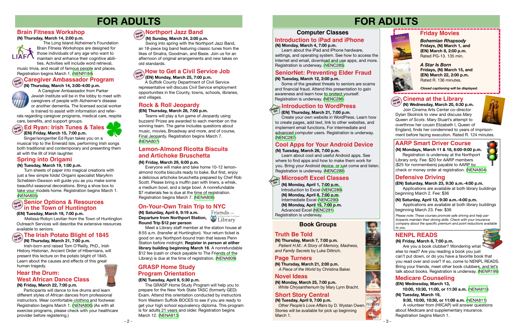#### **Computer Classes**

# **FOR ADULTS FOR ADULTS**

#### **(N) Monday, March 4, 7:00 p.m.**

 Learn about the iPad and iPhone hardware, settings, and operating system. See how to access the Internet and email, download and use apps, and more. Registration is underway. ([NENC285\)](https://search.livebrary.com/record=g1082863~S43)

#### **Introduction to iPad and iPhone**

#### **Defensive Driving**

*Please note: These courses promote safe driving and help participants maintain their driving skills. Check with your insurance company about the specific premium and point reductions available to you.*

#### **AARP Smart Driver Course**

**(N) Mondays, March 11 & 18, 6:00-9:00 p.m.** Registration is underway at the Northport Library only. Fee: \$20 for AARP members (\$25 for nonmembers) payable to AARP by check or money order at registration. [\(NENA804](https://search.livebrary.com/record=g1088522~S43))



**(EN) Saturday, March 23, 9:30 a.m.-4:00 p.m.** Applications are available at both library buildings beginning March 2. Fee: \$36

#### **SeniorNet: Preventing Elder Fraud**

#### **(N) Tuesday, March 12, 2:00 p.m.**

 Some of the greatest threats to seniors are scams and financial fraud. Attend this presentation to gain awareness and learn how to protect yourself. Registration is underway. [\(NENC286\)](https://search.livebrary.com/record=g1065170~S43)

 Singer/songwriter Ed Ryan takes you on a musical trip to the Emerald Isle, performing Irish songs both traditional and contemporary and presenting them all with the lilt of Irish laughter.



## **Friday Movies**

*Bohemian Rhapsody* **Fridays, (N) March 1, and (EN) March 8, 2:00 p.m.**  Rated PG-13. 135 min.

*Closed captioning will be displayed.*

**(N) Saturday, April 6, 9:19 a.m. Departure from Northport Station, Configurated Departure from Northport Station, Configurated District Round Trip \$12 per person**



Meet a Library staff member at the station house at 8:55 a.m. (transfer at Huntington). Your return ticket is good on any Northport-bound train that leaves Penn Station before midnight. **Register in person at either library building beginning March 16**. A nonrefundable \$12 fee (cash or check payable to The Friends of the Library) is due at the time of registration. [\(NENA809\)](https://search.livebrary.com/record=g1088903~S43)

#### **Spring into Origami**

#### **(N) Tuesday, March 19, 1:00 p.m.**

#### **On (EN) Thursday, March 21, 7:00 p.m.**

Turn sheets of paper into magical creations with just a few simple folds! Origami specialist MaryAnn Scheblein-Dawson will guide you as you make some beautiful seasonal decorations. Bring a shoe box to take your models home. Registration begins March 1. [\(NENA805](https://search.livebrary.com/record=g1088867~S43))

#### **Hands Introduction to WordPress**

Create your own website in WordPress. Learn how to create pages, add text, link to other websites, and implement email functions. For intermediate and advanced computer users. Registration is underway. ([NENC287](https://search.livebrary.com/record=g1088916~S43))

#### **Cool Apps for Your Android Device**

 **(EN) Friday, March 15, 7:00 p.m. to all**

#### **Microsoft Excel Classes On**

#### **Ed Ryan: Irish Tunes & Tales Open**

*Queen of Scots*. Mary Stuart's attempt to overthrow her cousin Elizabeth I, Queen of England, finds her condemned to years of imprisonment before facing execution. Rated R. 124 minutes.

#### **(N) Tuesday, March 26, 7:00 p.m.**

 Learn about cool and useful Android apps. See where to find apps and how to make them work for you. Bring your Android device, or just come and listen. Registration is underway. [\(NENC288\)](https://search.livebrary.com/record=g1088917~S43)

#### **(EN) Wednesday, March 13,**

 **10:00, 10:30, 11:00, or 11:30 a.m.** ([NENA810\)](https://search.livebrary.com/record=g1088999~S43) **(N) Tuesday, March 19,**

 **9:30, 10:00, 10:30, or 11:00 a.m.** [\(NENA811](https://search.livebrary.com/record=g1089000~S43)) A volunteer from (HIICAP) will answer questions about Medicare and supplementary insurance. Registration begins March 1.



**Medicare Counseling**

 **(N) Monday, April 1, 7:00 p.m.** Introduction to Excel ([NENC289](http://search.livebrary.com/record=g1017266~S43))  **(N) Monday, April 8, 7:00 p.m.** Intermediate Excel ([NENC290](https://search.livebrary.com/record=g1000954~S43))  **(N) Monday, April 15, 7:00 p.m.** Advanced Excel [\(NENC291\)](https://search.livebrary.com/record=g1083595~S43) Registration is underway.

#### **Brain Fitness Workshop**

 **(N) Thursday, March 14, 2:00 p.m.**



 The Long Island Alzheimer's Foundation Brain Fitness Workshops are designed for those individuals of any age who want to maintain and enhance their cognitive abili-

ties. Activities will include word retrieval, music trivia, and recall of famous people and places.<br>Registration begins March 1. (NENR184) Registration begins March 1. [\(NENR184](https://search.livebrary.com/record=g1089486~S43))



 A Caregiver Ambassador from Parker Jewish Institute will be in the lobby to meet with

**Cinema at the Library (N) Wednesday, March 20, 6:30 p.m.** Join Cinema Arts Center co-director Dylan Skolnick to view and discuss *Mary*  **Open to all**

# **Caregiver Ambassador Program Open to all**



caregivers of people with Alzheimer's disease or another dementia. The licensed social worker is trained to assist with information and refer-

rals regarding caregiver programs, medical care, respite care, benefits, and support groups.

 **(N) Sunday, March 24, 2:00 p.m.** Swing into spring with the Northport Jazz Band, an 18-piece big band featuring classic tunes from the likes of Sinatra, Goodman, and Basie. Join us for an afternoon of original arrangements and new takes on

old standards.

## **Open Northport Jazz Band to all**

#### **Rock & Roll Jeopardy**

#### **(EN) Thursday, March 28, 7:00 p.m.**

Teams will play a fun game of Jeopardy using buzzers! Prizes are awarded to each member on the winning team. The game includes questions about music, movies, Broadway and more, and of course, Final Jeopardy. Registration begins March 7. [\(NENA807](https://search.livebrary.com/record=g1088878~S43))

#### **(N) Friday, March 29, 6:00 p.m.**

#### **Lemon-Almond Ricotta Biscuits and Artichoke Bruschetta**

Everyone will make and take home 10-12 lemonalmond ricotta biscuits ready to bake. But first, enjoy a delicious artichoke bruschetta prepared by Chef Rob Scott. Please bring a muffin pan with liners, a whisk, a medium bowl, and a large bowl. A nonrefundable \$7 materials fee is due at the time of registration. Registration begins March 7. [\(NENA808](https://search.livebrary.com/record=g1088880~S43))

# **On-Your-Own Train Trip to NYC**<br>(N) Saturday, April 6, 9:19 a.m. Friends onto

A Suffolk County Department of Civil Service representative will discuss Civil Service employment opportunities in the County, towns, schools, libraries, and villages.

#### **(EN) Monday, March 25, 7:00 p.m. Open How to Get a Civil Service Job to all**

#### **NENPL READS**

#### **Truth Be Told**

#### **Page Turners**

**(N) Thursday, March 21, 2:00 p.m.**  *A Piece of the World* by Christina Baker.

**(N) Thursday, March 7, 7:00 p.m.**  *Patient H.M.: A Story of Memory, Madness, and Family Secrets* by Luke Dittrich.

**(N) Monday, March 25, 7:00 p.m.**  *White Chrysanthemum* by Mary Lynn Bracht.

#### **Novel Ideas**

#### **Short Story Central**

**(N) Tuesday, April 9, 7:00 p.m.** *Other People's Love Affairs* by D. Wystan Owen. Stories will be available for pick up beginning March 1.



**(N) Saturday, April 13, 9:30 a.m.-4:00 p.m.**

Applications are available at both library buildings beginning March 23. Fee: \$36

#### **(N) Friday, March 22, 7:00 p.m.**

 Participants will dance to live drums and learn different styles of African dances from professional instructors. Wear comfortable clothing and footwear. Registration begins March 1. [\(NENA806\)](https://search.livebrary.com/record=g1088869~S43) (As with all exercise programs, please check with your healthcare provider before registering.)

 **( N) Thursday, March 21, 7:00 p.m.**

#### **The Irish Potato Blight of 1845 Open to all**

## **Hear the Drum: West African Dance Class**

Irish-born and raised Tom O'Reilly, PhD., Irish History Historian, Ancient Order of Hibernians, will present this lecture on the potato blight of 1845. Learn about the causes and effects of this great human tragedy.

#### **(EN) Tuesday, March 19, 7:00 p.m.**

 Melissa-Robyn Levitan from the Town of Huntington Outreach Services will describe the extensive resources available to seniors. available to seniors.

#### **Senior Options & Resources in the Town of Huntington Open to all**

#### **( N) Friday, March 8, 7:00 p.m.**

Are you a book clubber? Wondering what else to read? Are you reading a book you just can't put down, or do you have a favorite book that you read over and over? If so, come to NENPL READS. Bring your friends, meet other book clubbers, and let's talk about books. Registration is underway. [\(NENR199](https://search.livebrary.com/record=g1089398~S43))

#### **Book Groups**

#### **(EN) Tuesday, April 9, 5:30 p.m.**

## **GRASP Home Study Program Orientation**

 The GRASP Home Study Program will help you to prepare for the New York State TASC (formerly GED) Exam. Attend this orientation conducted by instructors from Western Suffolk BOCES to see if you are ready to get your high school equivalency diploma. This program is for adults 21 years and older. Registration begins March 12. [\(NENA813\)](https://search.livebrary.com/record=g1089306~S43)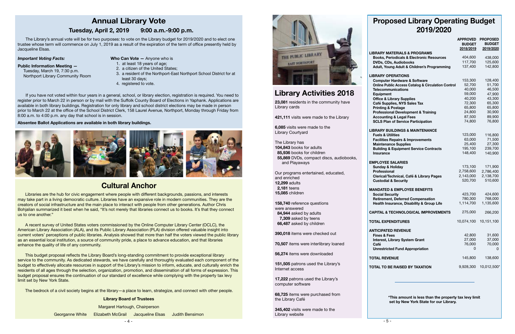# **Cultural Anchor**

 $-4-$ Georganne White Elizabeth McGrail Jacqueline Elsas Judith Bensimon



**English**  may take part in a living democratic culture. Libraries have an expansive role in modern communities. They are the **Language**  Bohjalian summarized it best when he said, "It's not merely that libraries connect us to books. It's that they connect Libraries are the hub for civic engagement where people with different backgrounds, passions, and interests creators of social infrastructure and the main place to interact with people from other generations. Author Chris us to one another."

A recent survey of United States voters commissioned by the Online Computer Library Center (OCLC), the American Library Association (ALA), and its Public Library Association (PLA) division offered valuable insight into current voters' perceptions of public libraries. Analysis showed that more than half the voters viewed the public library as an essential local institution, a source of community pride, a place to advance education, and that libraries enhance the quality of life of any community.

This budget proposal reflects the Library Board's long-standing commitment to provide exceptional library service to the community. As dedicated stewards, we have carefully and thoroughly evaluated each component of the budget to effectively allocate resources in support of the Library's mission to inform, educate, and culturally enrich the residents of all ages through the selection, organization, promotion, and dissemination of all forms of expression. This budget proposal ensures the continuation of our standard of excellence while complying with the property tax levy limit set by New York State.

The bedrock of a civil society begins at the library—a place to learn, strategize, and connect with other people.

 The Library's annual vote will be for two purposes: to vote on the Library budget for 2019/2020 and to elect one trustee whose term will commence on July 1, 2019 as a result of the expiration of the term of office presently held by Jacqueline Elsas.

#### *Important Voting Facts:*

#### **Public Information Meeting —**

Tuesday, March 19, 7:30 p.m. Northport Library Community Room

 If you have not voted within four years in a general, school, or library election, registration is required. You need to register prior to March 22 in person or by mail with the Suffolk County Board of Elections in Yaphank. Applications are available in both library buildings. Registration for only library and school district elections may be made in person prior to March 22 at the office of the School District Clerk, 158 Laurel Avenue, Northport, Monday through Friday from 8:00 a.m. to 4:00 p.m. any day that school is in session.

#### **Absentee Ballot Applications are available in both library buildings.**



# **Annual Library Vote**

#### **Tuesday, April 2, 2019 9:00 a.m.-9:00 p.m.**

- **Who Can Vote —** Anyone who is
	- 1. at least 18 years of age;
- 2. a citizen of the United States;
- 3. a resident of the Northport-East Northport School District for at least 30 days;
- 4. registered to vote.

**Library Board of Trustees**

# **Library Activities 2018**

# **Proposed Library Operating Budget 2019/2020**

|                                                                                                                                                               | <b>APPROVED</b><br><b>BUDGET</b><br>2018/2019 | <b>PROPOSED</b><br><b>BUDGET</b><br>2019/2020 |
|---------------------------------------------------------------------------------------------------------------------------------------------------------------|-----------------------------------------------|-----------------------------------------------|
| <b>LIBRARY MATERIALS &amp; PROGRAMS</b>                                                                                                                       |                                               |                                               |
| <b>Books, Periodicals &amp; Electronic Resources</b>                                                                                                          | 404,600                                       | 438,000                                       |
| DVDs, CDs, Audiobooks                                                                                                                                         | 117,700                                       | 125,600                                       |
| Adult, Young Adult & Children's Programming                                                                                                                   | 137,400                                       | 142,800                                       |
| <b>LIBRARY OPERATIONS</b>                                                                                                                                     |                                               |                                               |
| <b>Computer Hardware &amp; Software</b>                                                                                                                       | 153,300                                       | 128,400                                       |
| <b>Online Public Access Catalog &amp; Circulation Control</b>                                                                                                 | 52,700                                        | 51,700                                        |
| <b>Telecommunications</b>                                                                                                                                     | 40,000<br>59,000                              | 46,500<br>47,900                              |
| Equipment<br><b>Office &amp; Library Supplies</b>                                                                                                             | 40,200                                        | 43,300                                        |
| Café Supplies, NYS Sales Tax                                                                                                                                  | 72,300                                        | 65,300                                        |
| <b>Printing &amp; Postage</b>                                                                                                                                 | 65,800                                        | 65,800                                        |
| <b>Professional Development &amp; Training</b>                                                                                                                | 24,800                                        | 30,900                                        |
| <b>Accounting &amp; Legal Fees</b>                                                                                                                            | 87,500                                        | 89,900                                        |
| <b>SCLS Plan of Service Participation</b>                                                                                                                     | 74,800                                        | 76,800                                        |
|                                                                                                                                                               |                                               |                                               |
| <b>LIBRARY BUILDINGS &amp; MAINTENANCE</b>                                                                                                                    |                                               |                                               |
| <b>Fuels &amp; Utilities</b><br><b>Facilities Repairs &amp; Improvements</b>                                                                                  | 123,000<br>63,000                             | 116,800<br>71,500                             |
| <b>Maintenance Supplies</b>                                                                                                                                   | 25,400                                        | 27,300                                        |
| <b>Building &amp; Equipment Service Contracts</b>                                                                                                             | 195,100                                       | 239,700                                       |
| Insurance                                                                                                                                                     | 148,400                                       | 140,900                                       |
| <b>EMPLOYEE SALARIES</b><br><b>Sunday &amp; Holiday</b><br><b>Professional</b><br>Clerical/Technical, Café & Library Pages<br><b>Custodial &amp; Security</b> | 173,100<br>2,758,600<br>2,143,000<br>520,700  | 171,900<br>2,786,400<br>2,138,700<br>510,600  |
| <b>MANDATED &amp; EMPLOYEE BENEFITS</b>                                                                                                                       |                                               |                                               |
| <b>Social Security</b>                                                                                                                                        | 423,700                                       | 424,600                                       |
| <b>Retirement, Deferred Compensation</b>                                                                                                                      | 780,300                                       | 768,000                                       |
| Health Insurance, Disability & Group Life                                                                                                                     | 1,114,700                                     | 1,135,600                                     |
| <b>CAPITAL &amp; TECHNOLOGICAL IMPROVEMENTS</b>                                                                                                               | 275,000                                       | 266,200                                       |
| <b>TOTAL EXPENDITURES</b>                                                                                                                                     | 10,074,100                                    | 10,151,100                                    |
| <b>ANTICIPATED REVENUE</b>                                                                                                                                    |                                               |                                               |
| <b>Fines &amp; Fees</b>                                                                                                                                       | 42,800                                        | 31,600                                        |
| <b>Interest, Library System Grant</b>                                                                                                                         | 27,000                                        | 37,000                                        |
| Café                                                                                                                                                          | 76,000                                        | 70,000                                        |
| <b>Unrestricted Fund Appropriation</b>                                                                                                                        | 0                                             | 0                                             |
| <b>TOTAL REVENUE</b>                                                                                                                                          | 145,800                                       | 138,600                                       |
| <b>TOTAL TO BE RAISED BY TAXATION</b>                                                                                                                         | 9,928,300                                     | 10,012,500*                                   |
|                                                                                                                                                               |                                               |                                               |

 **\*This amount is less than the property tax levy limit set by New York State for our Library.**

**23,081** residents in the community have Library cards

**421,111** visits were made to the Library

**6,085** visits were made to the Library Courtyard

The Library has **104,843** books for adults  **85,936** books for children  **55,869** DVDs, compact discs, audiobooks, and Playaways

Our programs entertained, educated, and enriched **12,299** adults  **2,181** teens **15,085** children

**158,740** reference questions were answered  **84,944** asked by adults  **7,309** asked by teens  **66,487** asked by children

**390,018** items were checked out

**70,507** items were interlibrary loaned

**56,274** items were downloaded

**151,505** patrons used the Library's Internet access

**17,222** patrons used the Library's computer software

**68,725** items were purchased from the Library Café

**345,402** visits were made to the Library website

#### **EMPL**

#### **MAND**

Margaret Hartough, Chairperson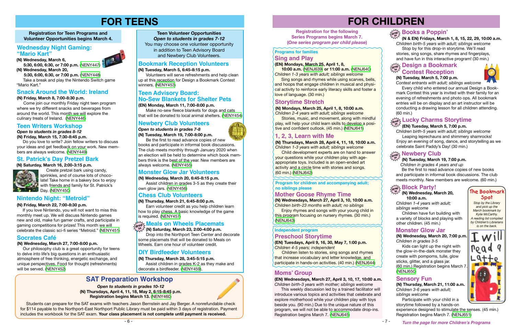# **FOR CHILDREN**

#### *Open to students in grades 8-12* **(N) Friday, March 15, 7:30-8:45 p.m.**

 Do you love to write? Join fellow writers to discuss your ideas and get feedback on your work. New members are always welcome. [\(NENY449\)](https://search.livebrary.com/record=g1088596~S43)

**Registration for Teen Programs and Volunteer Opportunities begins March 4.**

# **FOR TEENS**

#### **Teen Writers Workshop**

Be the first to read advance copies of new books and participate in informal book discussions. The club meets monthly. New members are welcome. (60 min.)

**Registration for the following Series Programs begins March 7. (***One series program per child please***)**

**Turn the page for more Children's Programs**

#### **(N) Tuesday, March 19, 7:00 p.m.**

Create pretzel bark using candy, sprinkles, and of course lots of chocolate! Take home in a bakery box to enjoy with friends and family for St. Patrick's **Day.** ([NENY450\)](https://search.livebrary.com/record=g1088632~S43)

*Children in grades 4 years and up* 

#### **(N) Friday, March 8, 7:00-8:30 p.m.**

 Come join our monthly Friday night teen program where we try different snacks and beverages from around the world. This month we will explore the culinary treats of Ireland. [\(NENY446\)](https://search.livebrary.com/record=g1088565~S43)

#### **Snack Around the World: Ireland**

#### **Bookmark Reception Volunteers**

#### **St. Patrick's Day Pretzel Bark**

**Enjoy rhymes and songs with your young child in** this program focusing on nursery rhymes. (30 min.) [\(NENJ643\)](https://search.livebrary.com/record=g1088556~S43)

#### **(N) Saturday, March 16, 2:00-3:15 p.m.**



Stories, music, and movement, along with mindful play, will help your child learn skills to develop a positive and confident outlook. (45 min.) [\(NENJ641\)](https://search.livebrary.com/record=g1088555~S43)

#### **Teen Volunteer Opportunities**

*Open to students in grades 7-12* You may choose one volunteer opportunity in addition to Teen Advisory Board and Newbery Club Volunteers.

> **Sing songs and rhymes while using scarves, bells,** and hoops that engage children in musical and physical activity to reinforce early literacy skills and foster a love of language. (30 min.)

#### **(N) Wednesday, March 27, 7:00-8:00 p.m.**

**Children listen to stories, sing songs and rhymes** that increase vocabulary and letter knowledge, and participate in hands-on activities. (40 min.) [\(NENJ644\)](https://search.livebrary.com/record=g1088581~S43)

 Our philosophy club is a great opportunity for teens to delve into life's big questions in an enthusiastic atmosphere of free thinking, energetic exchange, and unique perspectives. Food for thought (refreshments) will be served. ([NENY452\)](https://search.livebrary.com/record=g1088644~S43)

#### **Socrates Café**

## **SAT Preparation Workshop**

*Open to students in grades 10-12*  **(N) Thursdays, April 4, 11, 18, May 2, 6:15-8:45 p.m. Registration begins March 13.** [\(NENY460](https://search.livebrary.com/record=g1088745~S43))

#### **Mother Goose Rhyme Time**

**(N) Wednesdays, March 27, April 3, 10, 10:00 a.m.** *Children birth-23 months with adult; no siblings*

**Program for children and accompanying adult; no siblings please** 

## **Programs for families**

#### **(N) Mondays, March 25, April 1, 8, 10:00 a.m.** *Children 2-4 years with adult; siblings welcome*

#### **Storytime Stretch**

#### **Sing and Play**

#### **(EN) Mondays, March 25, April 1, 8,**

 **10:00 a.m.** ([NENJ639](https://search.livebrary.com/record=g1088879~S43)) **or 11:00 a.m.** ([NENJ640](https://search.livebrary.com/record=g1088881~S43)) *Children 1-3 years with adult; siblings welcome*

**(EN) Tuesdays, April 9, 16, 30, May 7, 1:00 p.m.**  *Children 4-5 years; independent*

#### **Independent program Preschool Storytime**

**Child development experts are on hand to answer** your questions while your children play with ageappropriate toys. Included is an open-ended art activity and a circle time with stories and songs. (60 min.) ([NENJ642](https://search.livebrary.com/record=g1088835~S43))

> **(N) Wednesday, March 20, 10:00 a.m.**

*Children 1-4 years with adult; siblings welcome*

 Children have fun building with a variety of blocks and playing with other children. (45 min.)

#### **(N) Wednesday, March 20, 7:00 p.m.** *Children in grades 3-5*

 Kids can light up the night with the glow-in-the-dark monster they create with pompoms, tulle, glow sticks, glitter, and a glass jar. (60 min.) Registration begins March 7. [\(NENJ650\)](https://search.livebrary.com/record=g1088829~S43)

#### **Monster Glow Jar**

**(N) Wednesday, March 6, 5:30, 6:00, 6:30, or 7:00 p.m.** [\(NENY447\)](https://search.livebrary.com/record=g1089408~S43) **(N) Wednesday, March 20,**

#### **Block Party! drop in**

 **5:30, 6:00, 6:30, or 7:00 p.m.** ([NENY448\)](https://search.livebrary.com/record=g1089413~S43) Take a break and play the Nintendo Switch game "Mario Kart."

#### **Nintendo Night: "Metroid"**

# **Newbery Club drop in**

#### **(N) Friday, March 22, 7:00-8:30 p.m.**

#### **Wednesday Night Gaming: "Mario Kart"**



 If you love Nintendo, you will not want to miss this monthly meet up. We will discuss Nintendo games new and old, make fun gamer crafts, and participate in gaming competitions for prizes! This month we will celebrate the classic sci-fi series "Metroid." ([NENY451\)](https://search.livebrary.com/record=g1088629~S43)

#### **(N) Tuesday, March 5, 6:45-8:15 p.m.**

 Volunteers will serve refreshments and help clean up at this reception for Design a Bookmark Contest winners. [\(NENY453](https://search.livebrary.com/record=g1088645~S43))

#### **(EN) Monday, March 11, 7:00-8:00 p.m.**

## **Teen Advisory Board: No-Sew Blankets for Shelter Pets**

 Make no-sew fleece blankets for dogs and cats that will be donated to local animal shelters. ([NENY454\)](https://search.livebrary.com/record=g1088670~S43)

#### **Newbery Club Volunteers**

*Open to students in grades 7-8*

**(N) Tuesday, March 19, 7:00-8:00 p.m.**

 Be the first to read advance copies of new books and participate in informal book discussions. The club meets monthly through January 2020 when an election will be held to determine which book members think is the best of the year. New members are always welcome. [\(NENY455](https://search.livebrary.com/record=g1088678~S43))

#### **Monster Glow Jar Volunteers**

#### **(N) Wednesday, March 20, 6:45-8:15 p.m.**

 Assist children in grades 3-5 as they create their own glow jars. ([NENY456](https://search.livebrary.com/record=g1088681~S43))

**(N) Thursday, March 21, 6:45-8:00 p.m.**  Earn volunteer credit as you help children learn how to play chess. A basic knowledge of the game is required. [\(NENY457](https://search.livebrary.com/record=g1088710~S43))

## *Alcob***<sub>2</sub> Meals on Wheels Placemats**

#### **Chess Club Volunteers**

 **(N) Saturday, March 23, 2:00-4:00 p.m. in** Drop into the Northport Teen Center and decorate some placemats that will be donated to Meals on Wheels. Earn one hour of volunteer credit.

#### **DIY Birdfeeder Volunteers**

**(N) Thursday, March 28, 3:45-5:15 p.m.** Assist children in grades K-2 as they make and decorate a birdfeeder. [\(NENY459\)](https://search.livebrary.com/record=g1088736~S43).

Students can prepare for the SAT exams with teachers Jason Bernstein and Jay Berger. A nonrefundable check for \$114 payable to the Northport-East Northport Public Library must be paid within 3 days of registration. Payment includes the workbook for the SAT exam. **Your class placement is not complete until payment is received.**

#### **1, 2, 3, Learn with Me**

**(N) Thursdays, March 28, April 4, 11, 18, 10:00 a.m.** *Children 1-3 years with adult; siblings welcome*

**(N) Tuesday, March 5, 7:00 p.m.** 

*Contest entrants with adult; siblings welcome*

 Every child who entered our annual Design a Bookmark Contest this year is invited with their family for an evening of refreshments and photo ops. All bookmark entries will be on display and an art instructor will be conducting a drawing lesson for all children attending. (60 min.)

#### **(EN) Tuesday, March 5, 7:00 p.m.**

*Children birth-5 years with adult; siblings welcome* Leaping leprechauns and shimmery shamrocks! Enjoy an evening of song, dance, and storytelling as we celebrate Saint Paddy's Day! (30 min.)

# **drop Lucky Charms Storytime in**

**(N) Thursday, March 21, 11:00 a.m.** *Children 3-6 years with adult; siblings welcome*

 Participate with your child in a storytime followed by a hands-on

experience designed to stimulate the senses. (45 min.) Registration begins March 7. ([NENJ651\)](https://search.livebrary.com/record=g1088830~S43)

#### **Sensory Fun**

*Stop by the Library and pick up the March bookmark by Kylie McCarthy. A reading list compiled by Children's Librarians is on the back.*









#### **Moms' Group**

#### **(EN) Wednesdays, March 27, April 3, 10, 17, 10:00 a.m.** *Children birth-3 years with mother; siblings welcome*

 This weekly discussion led by a trained facilitator will introduce various topics and activities that celebrate and explore motherhood while your children play with toys beside you. (90 min.) Due to the unique nature of this program, we will not be able to accommodate drop-ins. Registration begins March 7. [\(NENJ645\)](https://search.livebrary.com/record=g1088579~S43)



 **(N & EN) Fridays, March 1, 8, 15, 22, 29, 10:00 a.m.** *Children birth-5 years with adult; siblings welcome* Stop by for this drop-in storytime. We'll read stories, sing songs, share rhymes and fingerplays,

and have fun in this interactive program! (30 min.)

## $\frac{1}{2}$  **Design a Bookmark** zural **Contest Reception**

# **drop in Books a Poppin'**